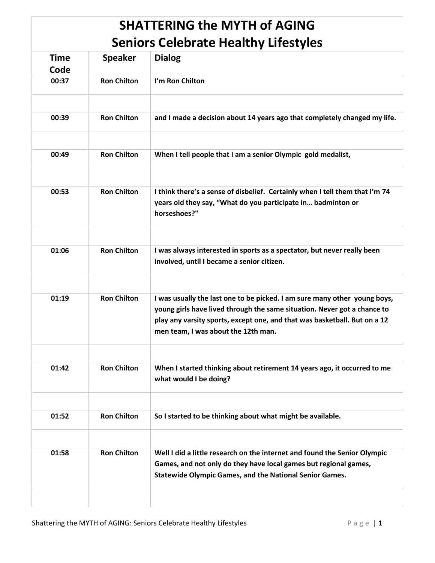## **SHATTERING the MYTH of AGING Seniors Celebrate Healthy Lifestyles**

| <b>Time</b><br>Code | <b>Speaker</b>     | <b>Dialog</b>                                                                                                                                                                                                                                                             |  |  |
|---------------------|--------------------|---------------------------------------------------------------------------------------------------------------------------------------------------------------------------------------------------------------------------------------------------------------------------|--|--|
| 00:37               | <b>Ron Chilton</b> | I'm Ron Chilton                                                                                                                                                                                                                                                           |  |  |
|                     |                    |                                                                                                                                                                                                                                                                           |  |  |
| 00:39               | <b>Ron Chilton</b> | and I made a decision about 14 years ago that completely changed my life.                                                                                                                                                                                                 |  |  |
|                     |                    |                                                                                                                                                                                                                                                                           |  |  |
| 00:49               | <b>Ron Chilton</b> | When I tell people that I am a senior Olympic gold medalist,                                                                                                                                                                                                              |  |  |
|                     |                    |                                                                                                                                                                                                                                                                           |  |  |
| 00:53               | <b>Ron Chilton</b> | I think there's a sense of disbelief. Certainly when I tell them that I'm 74<br>years old they say, "What do you participate in badminton or<br>horseshoes?"                                                                                                              |  |  |
|                     |                    |                                                                                                                                                                                                                                                                           |  |  |
| 01:06               | <b>Ron Chilton</b> | I was always interested in sports as a spectator, but never really been<br>involved, until I became a senior citizen.                                                                                                                                                     |  |  |
|                     |                    |                                                                                                                                                                                                                                                                           |  |  |
| 01:19               | <b>Ron Chilton</b> | I was usually the last one to be picked. I am sure many other young boys,<br>young girls have lived through the same situation. Never got a chance to<br>play any varsity sports, except one, and that was basketball. But on a 12<br>men team, I was about the 12th man. |  |  |
|                     |                    |                                                                                                                                                                                                                                                                           |  |  |
| 01:42               | <b>Ron Chilton</b> | When I started thinking about retirement 14 years ago, it occurred to me<br>what would I be doing?                                                                                                                                                                        |  |  |
|                     |                    |                                                                                                                                                                                                                                                                           |  |  |
| 01:52               | <b>Ron Chilton</b> | So I started to be thinking about what might be available.                                                                                                                                                                                                                |  |  |
|                     |                    |                                                                                                                                                                                                                                                                           |  |  |
| 01:58               | <b>Ron Chilton</b> | Well I did a little research on the internet and found the Senior Olympic<br>Games, and not only do they have local games but regional games,<br><b>Statewide Olympic Games, and the National Senior Games.</b>                                                           |  |  |
|                     |                    |                                                                                                                                                                                                                                                                           |  |  |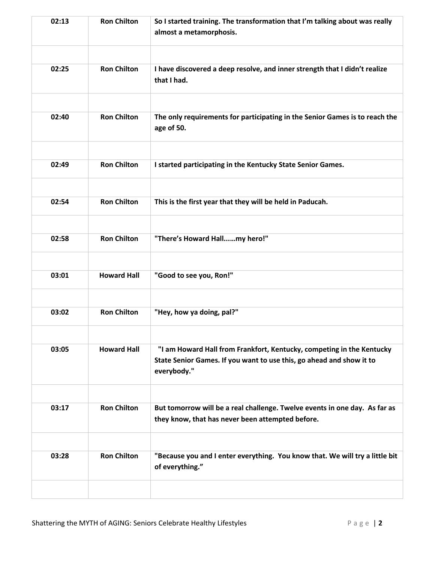| 02:13 | <b>Ron Chilton</b> | So I started training. The transformation that I'm talking about was really<br>almost a metamorphosis.                                                       |
|-------|--------------------|--------------------------------------------------------------------------------------------------------------------------------------------------------------|
| 02:25 | <b>Ron Chilton</b> | I have discovered a deep resolve, and inner strength that I didn't realize<br>that I had.                                                                    |
| 02:40 | <b>Ron Chilton</b> | The only requirements for participating in the Senior Games is to reach the<br>age of 50.                                                                    |
| 02:49 | <b>Ron Chilton</b> | I started participating in the Kentucky State Senior Games.                                                                                                  |
| 02:54 | <b>Ron Chilton</b> | This is the first year that they will be held in Paducah.                                                                                                    |
| 02:58 | <b>Ron Chilton</b> | "There's Howard Hallmy hero!"                                                                                                                                |
| 03:01 | <b>Howard Hall</b> | "Good to see you, Ron!"                                                                                                                                      |
| 03:02 | <b>Ron Chilton</b> | "Hey, how ya doing, pal?"                                                                                                                                    |
| 03:05 | <b>Howard Hall</b> | "I am Howard Hall from Frankfort, Kentucky, competing in the Kentucky<br>State Senior Games. If you want to use this, go ahead and show it to<br>everybody." |
| 03:17 | <b>Ron Chilton</b> | But tomorrow will be a real challenge. Twelve events in one day. As far as<br>they know, that has never been attempted before.                               |
| 03:28 | <b>Ron Chilton</b> | "Because you and I enter everything. You know that. We will try a little bit<br>of everything."                                                              |
|       |                    |                                                                                                                                                              |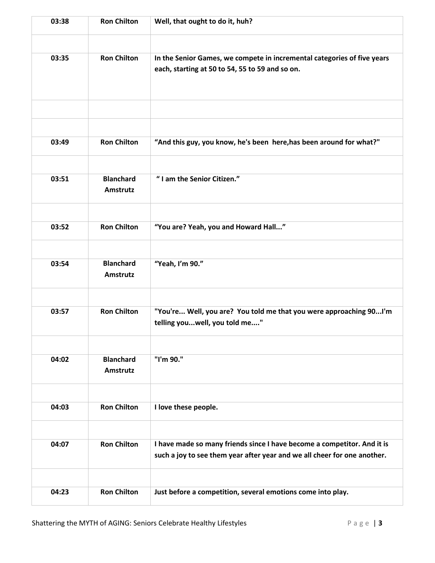| 03:38 | <b>Ron Chilton</b>                  | Well, that ought to do it, huh?                                                                                                                     |
|-------|-------------------------------------|-----------------------------------------------------------------------------------------------------------------------------------------------------|
|       |                                     |                                                                                                                                                     |
| 03:35 | <b>Ron Chilton</b>                  | In the Senior Games, we compete in incremental categories of five years<br>each, starting at 50 to 54, 55 to 59 and so on.                          |
|       |                                     |                                                                                                                                                     |
|       |                                     |                                                                                                                                                     |
| 03:49 | <b>Ron Chilton</b>                  | "And this guy, you know, he's been here, has been around for what?"                                                                                 |
| 03:51 | <b>Blanchard</b><br><b>Amstrutz</b> | "I am the Senior Citizen."                                                                                                                          |
| 03:52 | <b>Ron Chilton</b>                  | "You are? Yeah, you and Howard Hall"                                                                                                                |
| 03:54 | <b>Blanchard</b><br>Amstrutz        | "Yeah, I'm 90."                                                                                                                                     |
| 03:57 | <b>Ron Chilton</b>                  | "You're Well, you are? You told me that you were approaching 90I'm<br>telling youwell, you told me"                                                 |
| 04:02 | <b>Blanchard</b><br><b>Amstrutz</b> | "I'm 90."                                                                                                                                           |
| 04:03 | <b>Ron Chilton</b>                  | I love these people.                                                                                                                                |
| 04:07 | <b>Ron Chilton</b>                  | I have made so many friends since I have become a competitor. And it is<br>such a joy to see them year after year and we all cheer for one another. |
| 04:23 | <b>Ron Chilton</b>                  | Just before a competition, several emotions come into play.                                                                                         |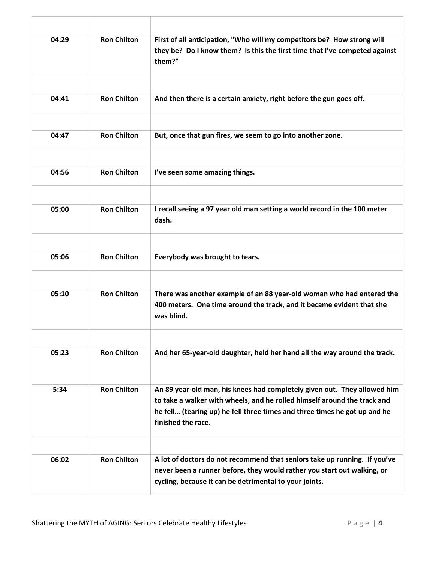| 04:29 | <b>Ron Chilton</b> | First of all anticipation, "Who will my competitors be? How strong will<br>they be? Do I know them? Is this the first time that I've competed against<br>them?"                                                                                         |
|-------|--------------------|---------------------------------------------------------------------------------------------------------------------------------------------------------------------------------------------------------------------------------------------------------|
|       |                    |                                                                                                                                                                                                                                                         |
| 04:41 | <b>Ron Chilton</b> | And then there is a certain anxiety, right before the gun goes off.                                                                                                                                                                                     |
|       |                    |                                                                                                                                                                                                                                                         |
| 04:47 | <b>Ron Chilton</b> | But, once that gun fires, we seem to go into another zone.                                                                                                                                                                                              |
|       |                    |                                                                                                                                                                                                                                                         |
| 04:56 | <b>Ron Chilton</b> | I've seen some amazing things.                                                                                                                                                                                                                          |
|       |                    |                                                                                                                                                                                                                                                         |
| 05:00 | <b>Ron Chilton</b> | I recall seeing a 97 year old man setting a world record in the 100 meter<br>dash.                                                                                                                                                                      |
|       |                    |                                                                                                                                                                                                                                                         |
| 05:06 | <b>Ron Chilton</b> | Everybody was brought to tears.                                                                                                                                                                                                                         |
|       |                    |                                                                                                                                                                                                                                                         |
| 05:10 | <b>Ron Chilton</b> | There was another example of an 88 year-old woman who had entered the<br>400 meters. One time around the track, and it became evident that she<br>was blind.                                                                                            |
|       |                    |                                                                                                                                                                                                                                                         |
| 05:23 | <b>Ron Chilton</b> | And her 65-year-old daughter, held her hand all the way around the track.                                                                                                                                                                               |
|       |                    |                                                                                                                                                                                                                                                         |
| 5:34  | <b>Ron Chilton</b> | An 89 year-old man, his knees had completely given out. They allowed him<br>to take a walker with wheels, and he rolled himself around the track and<br>he fell (tearing up) he fell three times and three times he got up and he<br>finished the race. |
|       |                    |                                                                                                                                                                                                                                                         |
| 06:02 | <b>Ron Chilton</b> | A lot of doctors do not recommend that seniors take up running. If you've<br>never been a runner before, they would rather you start out walking, or<br>cycling, because it can be detrimental to your joints.                                          |